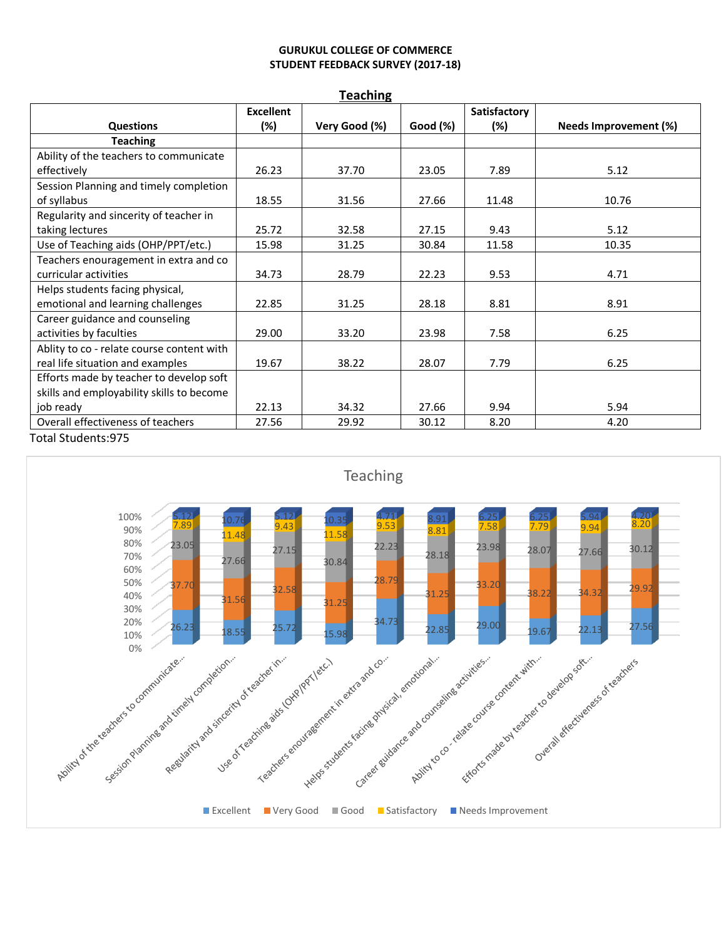#### **GURUKUL COLLEGE OF COMMERCE STUDENT FEEDBACK SURVEY (2017-18)**

| <b>Teaching</b>                           |                  |               |          |              |                       |  |  |
|-------------------------------------------|------------------|---------------|----------|--------------|-----------------------|--|--|
|                                           | <b>Excellent</b> |               |          | Satisfactory |                       |  |  |
| <b>Questions</b>                          | (%)              | Very Good (%) | Good (%) | (%)          | Needs Improvement (%) |  |  |
| <b>Teaching</b>                           |                  |               |          |              |                       |  |  |
| Ability of the teachers to communicate    |                  |               |          |              |                       |  |  |
| effectively                               | 26.23            | 37.70         | 23.05    | 7.89         | 5.12                  |  |  |
| Session Planning and timely completion    |                  |               |          |              |                       |  |  |
| of syllabus                               | 18.55            | 31.56         | 27.66    | 11.48        | 10.76                 |  |  |
| Regularity and sincerity of teacher in    |                  |               |          |              |                       |  |  |
| taking lectures                           | 25.72            | 32.58         | 27.15    | 9.43         | 5.12                  |  |  |
| Use of Teaching aids (OHP/PPT/etc.)       | 15.98            | 31.25         | 30.84    | 11.58        | 10.35                 |  |  |
| Teachers enouragement in extra and co     |                  |               |          |              |                       |  |  |
| curricular activities                     | 34.73            | 28.79         | 22.23    | 9.53         | 4.71                  |  |  |
| Helps students facing physical,           |                  |               |          |              |                       |  |  |
| emotional and learning challenges         | 22.85            | 31.25         | 28.18    | 8.81         | 8.91                  |  |  |
| Career guidance and counseling            |                  |               |          |              |                       |  |  |
| activities by faculties                   | 29.00            | 33.20         | 23.98    | 7.58         | 6.25                  |  |  |
| Ablity to co - relate course content with |                  |               |          |              |                       |  |  |
| real life situation and examples          | 19.67            | 38.22         | 28.07    | 7.79         | 6.25                  |  |  |
| Efforts made by teacher to develop soft   |                  |               |          |              |                       |  |  |
| skills and employability skills to become |                  |               |          |              |                       |  |  |
| job ready                                 | 22.13            | 34.32         | 27.66    | 9.94         | 5.94                  |  |  |
| Overall effectiveness of teachers         | 27.56            | 29.92         | 30.12    | 8.20         | 4.20                  |  |  |



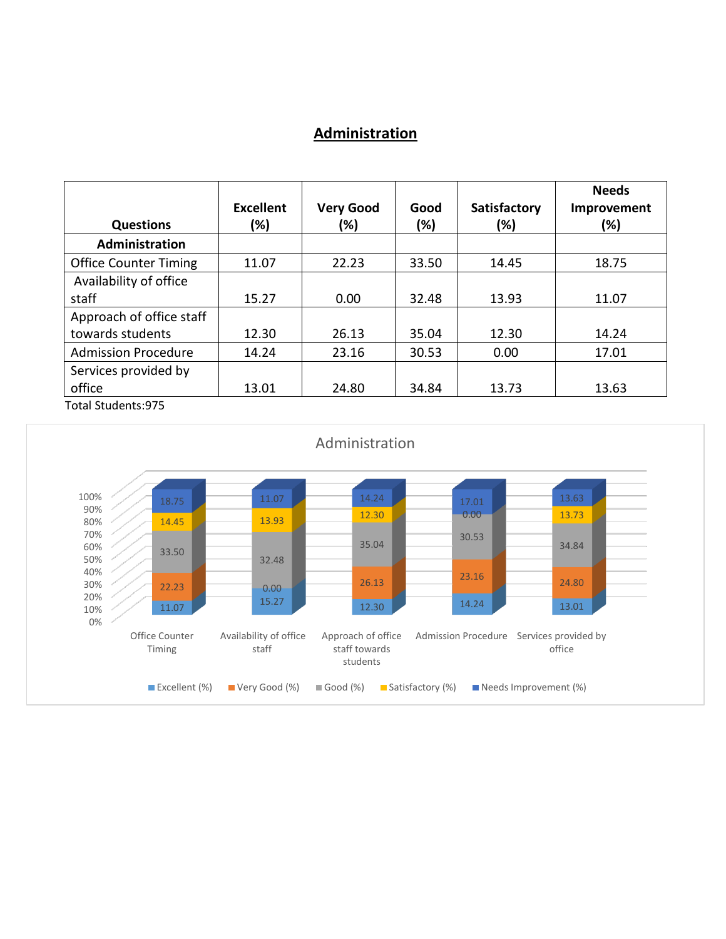### **Administration**

| <b>Questions</b>             | <b>Excellent</b><br>(%) | <b>Very Good</b><br>(%) | Good<br>$(\%)$ | Satisfactory<br>(%) | <b>Needs</b><br>Improvement<br>(%) |
|------------------------------|-------------------------|-------------------------|----------------|---------------------|------------------------------------|
| Administration               |                         |                         |                |                     |                                    |
| <b>Office Counter Timing</b> | 11.07                   | 22.23                   | 33.50          | 14.45               | 18.75                              |
| Availability of office       |                         |                         |                |                     |                                    |
| staff                        | 15.27                   | 0.00                    | 32.48          | 13.93               | 11.07                              |
| Approach of office staff     |                         |                         |                |                     |                                    |
| towards students             | 12.30                   | 26.13                   | 35.04          | 12.30               | 14.24                              |
| <b>Admission Procedure</b>   | 14.24                   | 23.16                   | 30.53          | 0.00                | 17.01                              |
| Services provided by         |                         |                         |                |                     |                                    |
| office                       | 13.01                   | 24.80                   | 34.84          | 13.73               | 13.63                              |
| Total Students: 975          |                         |                         |                |                     |                                    |

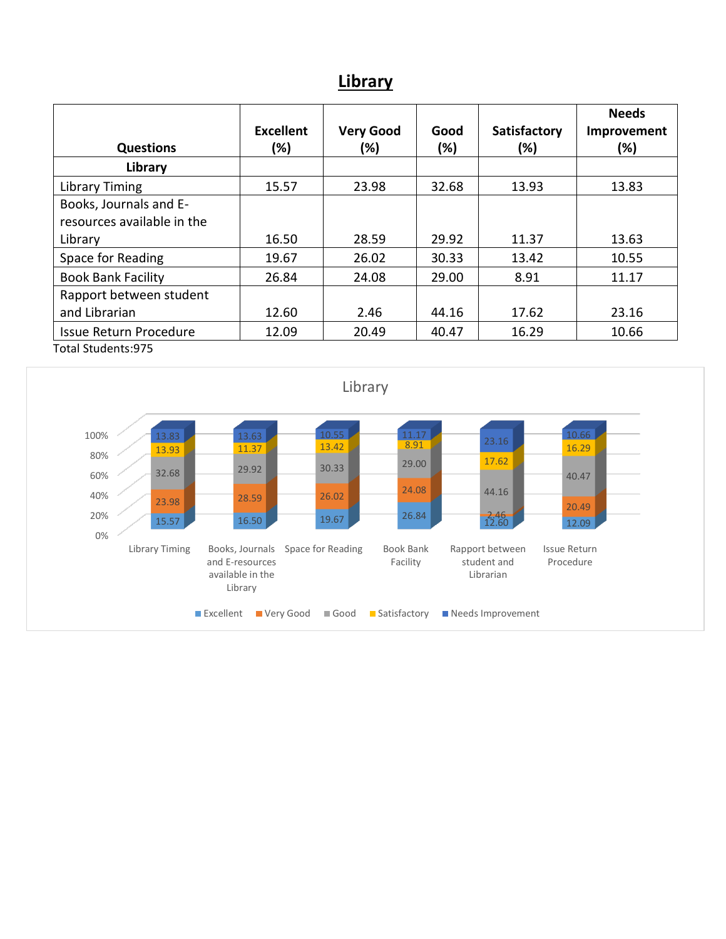## **Library**

|                               | <b>Excellent</b> | <b>Very Good</b> | Good   | Satisfactory | <b>Needs</b><br>Improvement |
|-------------------------------|------------------|------------------|--------|--------------|-----------------------------|
| <b>Questions</b>              | (%)              | (%)              | $(\%)$ | (%)          | (%)                         |
| Library                       |                  |                  |        |              |                             |
| Library Timing                | 15.57            | 23.98            | 32.68  | 13.93        | 13.83                       |
| Books, Journals and E-        |                  |                  |        |              |                             |
| resources available in the    |                  |                  |        |              |                             |
| Library                       | 16.50            | 28.59            | 29.92  | 11.37        | 13.63                       |
| Space for Reading             | 19.67            | 26.02            | 30.33  | 13.42        | 10.55                       |
| <b>Book Bank Facility</b>     | 26.84            | 24.08            | 29.00  | 8.91         | 11.17                       |
| Rapport between student       |                  |                  |        |              |                             |
| and Librarian                 | 12.60            | 2.46             | 44.16  | 17.62        | 23.16                       |
| <b>Issue Return Procedure</b> | 12.09            | 20.49            | 40.47  | 16.29        | 10.66                       |
| Total Students:975            |                  |                  |        |              |                             |

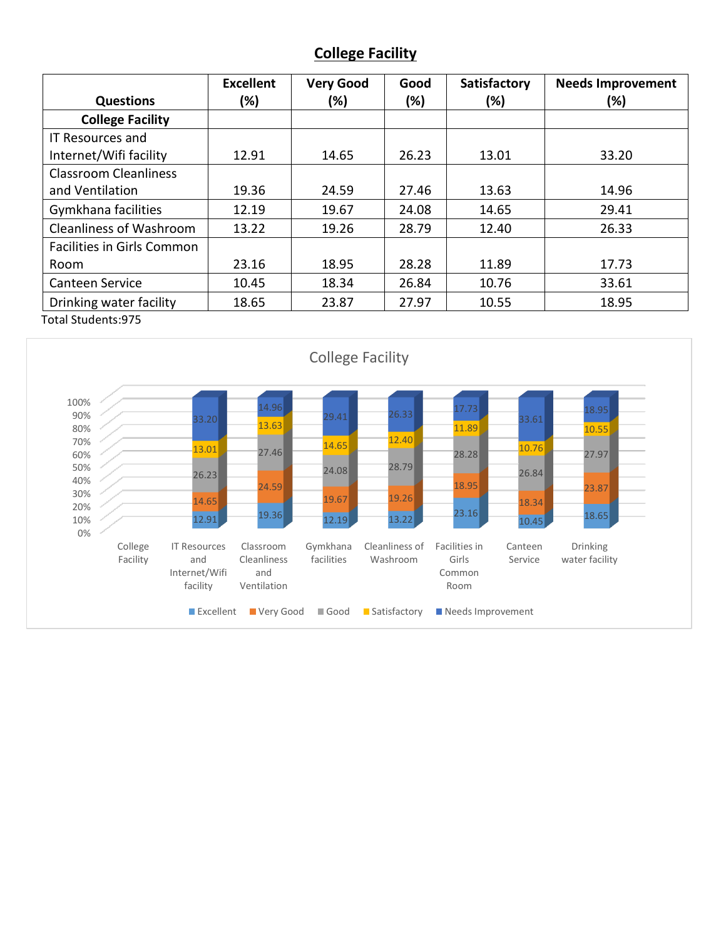# **College Facility**

|                                                 | <b>Excellent</b> | <b>Very Good</b> | Good   | Satisfactory | <b>Needs Improvement</b> |
|-------------------------------------------------|------------------|------------------|--------|--------------|--------------------------|
| <b>Questions</b>                                | (%)              | (%)              | $(\%)$ | (%)          | (%)                      |
| <b>College Facility</b>                         |                  |                  |        |              |                          |
| <b>IT Resources and</b>                         |                  |                  |        |              |                          |
| Internet/Wifi facility                          | 12.91            | 14.65            | 26.23  | 13.01        | 33.20                    |
| <b>Classroom Cleanliness</b>                    |                  |                  |        |              |                          |
| and Ventilation                                 | 19.36            | 24.59            | 27.46  | 13.63        | 14.96                    |
| Gymkhana facilities                             | 12.19            | 19.67            | 24.08  | 14.65        | 29.41                    |
| <b>Cleanliness of Washroom</b>                  | 13.22            | 19.26            | 28.79  | 12.40        | 26.33                    |
| Facilities in Girls Common                      |                  |                  |        |              |                          |
| Room                                            | 23.16            | 18.95            | 28.28  | 11.89        | 17.73                    |
| <b>Canteen Service</b>                          | 10.45            | 18.34            | 26.84  | 10.76        | 33.61                    |
| Drinking water facility<br>$T = 1.101 + 1.1077$ | 18.65            | 23.87            | 27.97  | 10.55        | 18.95                    |